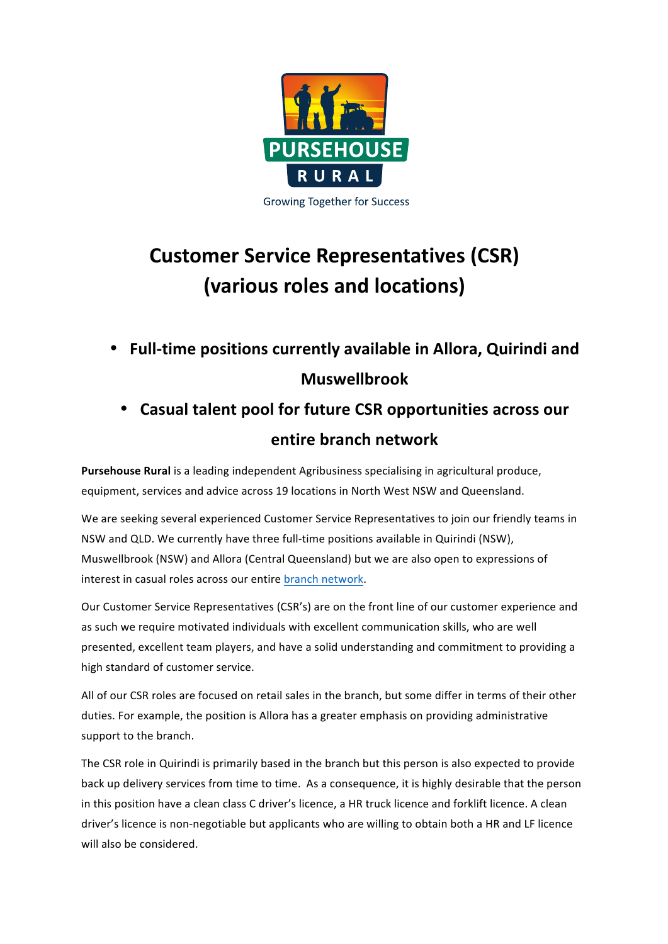

## **Customer Service Representatives (CSR) (various roles and locations)**

- **Full-time positions currently available in Allora, Quirindi and Muswellbrook**
	- **Casual talent pool for future CSR opportunities across our entire branch network**

**Pursehouse Rural** is a leading independent Agribusiness specialising in agricultural produce, equipment, services and advice across 19 locations in North West NSW and Queensland.

We are seeking several experienced Customer Service Representatives to join our friendly teams in NSW and QLD. We currently have three full-time positions available in Quirindi (NSW), Muswellbrook (NSW) and Allora (Central Queensland) but we are also open to expressions of interest in casual roles across our entire branch network.

Our Customer Service Representatives (CSR's) are on the front line of our customer experience and as such we require motivated individuals with excellent communication skills, who are well presented, excellent team players, and have a solid understanding and commitment to providing a high standard of customer service.

All of our CSR roles are focused on retail sales in the branch, but some differ in terms of their other duties. For example, the position is Allora has a greater emphasis on providing administrative support to the branch.

The CSR role in Quirindi is primarily based in the branch but this person is also expected to provide back up delivery services from time to time. As a consequence, it is highly desirable that the person in this position have a clean class C driver's licence, a HR truck licence and forklift licence. A clean driver's licence is non-negotiable but applicants who are willing to obtain both a HR and LF licence will also be considered.